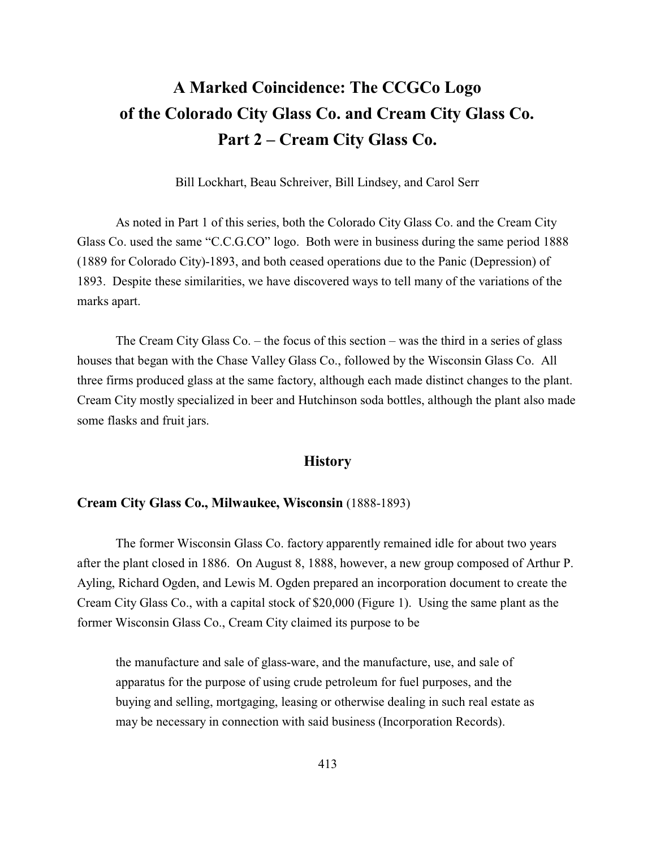# **A Marked Coincidence: The CCGCo Logo of the Colorado City Glass Co. and Cream City Glass Co. Part 2 – Cream City Glass Co.**

Bill Lockhart, Beau Schreiver, Bill Lindsey, and Carol Serr

As noted in Part 1 of this series, both the Colorado City Glass Co. and the Cream City Glass Co. used the same "C.C.G.CO" logo. Both were in business during the same period 1888 (1889 for Colorado City)-1893, and both ceased operations due to the Panic (Depression) of 1893. Despite these similarities, we have discovered ways to tell many of the variations of the marks apart.

The Cream City Glass Co. – the focus of this section – was the third in a series of glass houses that began with the Chase Valley Glass Co., followed by the Wisconsin Glass Co. All three firms produced glass at the same factory, although each made distinct changes to the plant. Cream City mostly specialized in beer and Hutchinson soda bottles, although the plant also made some flasks and fruit jars.

## **History**

#### **Cream City Glass Co., Milwaukee, Wisconsin** (1888-1893)

The former Wisconsin Glass Co. factory apparently remained idle for about two years after the plant closed in 1886. On August 8, 1888, however, a new group composed of Arthur P. Ayling, Richard Ogden, and Lewis M. Ogden prepared an incorporation document to create the Cream City Glass Co., with a capital stock of \$20,000 (Figure 1). Using the same plant as the former Wisconsin Glass Co., Cream City claimed its purpose to be

the manufacture and sale of glass-ware, and the manufacture, use, and sale of apparatus for the purpose of using crude petroleum for fuel purposes, and the buying and selling, mortgaging, leasing or otherwise dealing in such real estate as may be necessary in connection with said business (Incorporation Records).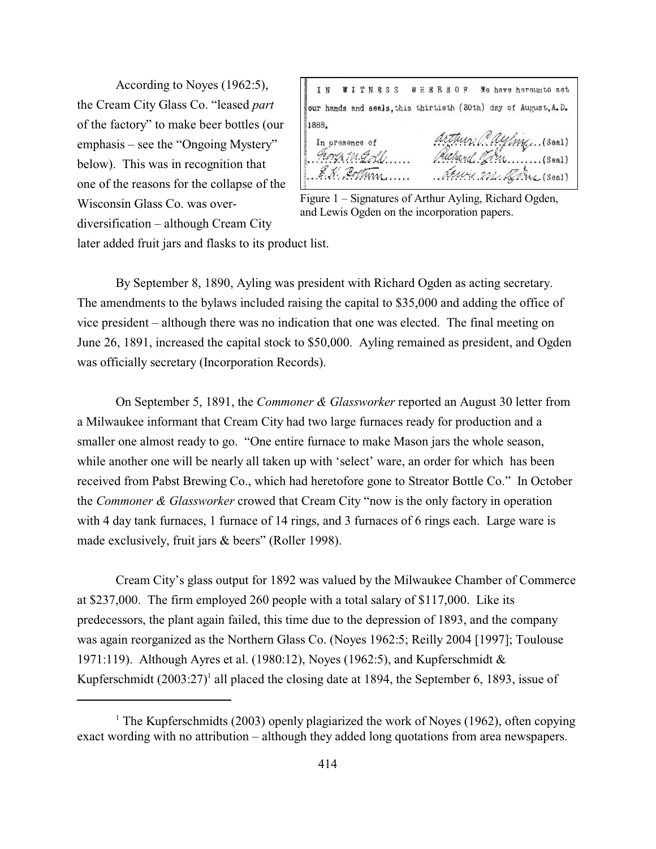According to Noyes (1962:5), the Cream City Glass Co. "leased *part* of the factory" to make beer bottles (our emphasis – see the "Ongoing Mystery" below). This was in recognition that one of the reasons for the collapse of the Wisconsin Glass Co. was overdiversification – although Cream City

IN WITNESS WHERBOF We have hereunto set our hands and seals, this thirtieth (30th) day of August, A.D. 1888. arthur Cayling. (Seal) In presence of and The (Soal) Teorga M. Goll Armin M. Rome (Seal)

Figure 1 – Signatures of Arthur Ayling, Richard Ogden, and Lewis Ogden on the incorporation papers.

later added fruit jars and flasks to its product list.

By September 8, 1890, Ayling was president with Richard Ogden as acting secretary. The amendments to the bylaws included raising the capital to \$35,000 and adding the office of vice president – although there was no indication that one was elected. The final meeting on June 26, 1891, increased the capital stock to \$50,000. Ayling remained as president, and Ogden was officially secretary (Incorporation Records).

On September 5, 1891, the *Commoner & Glassworker* reported an August 30 letter from a Milwaukee informant that Cream City had two large furnaces ready for production and a smaller one almost ready to go. "One entire furnace to make Mason jars the whole season, while another one will be nearly all taken up with 'select' ware, an order for which has been received from Pabst Brewing Co., which had heretofore gone to Streator Bottle Co." In October the *Commoner & Glassworker* crowed that Cream City "now is the only factory in operation with 4 day tank furnaces, 1 furnace of 14 rings, and 3 furnaces of 6 rings each. Large ware is made exclusively, fruit jars & beers" (Roller 1998).

Cream City's glass output for 1892 was valued by the Milwaukee Chamber of Commerce at \$237,000. The firm employed 260 people with a total salary of \$117,000. Like its predecessors, the plant again failed, this time due to the depression of 1893, and the company was again reorganized as the Northern Glass Co. (Noyes 1962:5; Reilly 2004 [1997]; Toulouse 1971:119). Although Ayres et al. (1980:12), Noyes (1962:5), and Kupferschmidt & Kupferschmidt  $(2003:27)^1$  all placed the closing date at 1894, the September 6, 1893, issue of

<sup>&</sup>lt;sup>1</sup> The Kupferschmidts (2003) openly plagiarized the work of Noyes (1962), often copying exact wording with no attribution – although they added long quotations from area newspapers.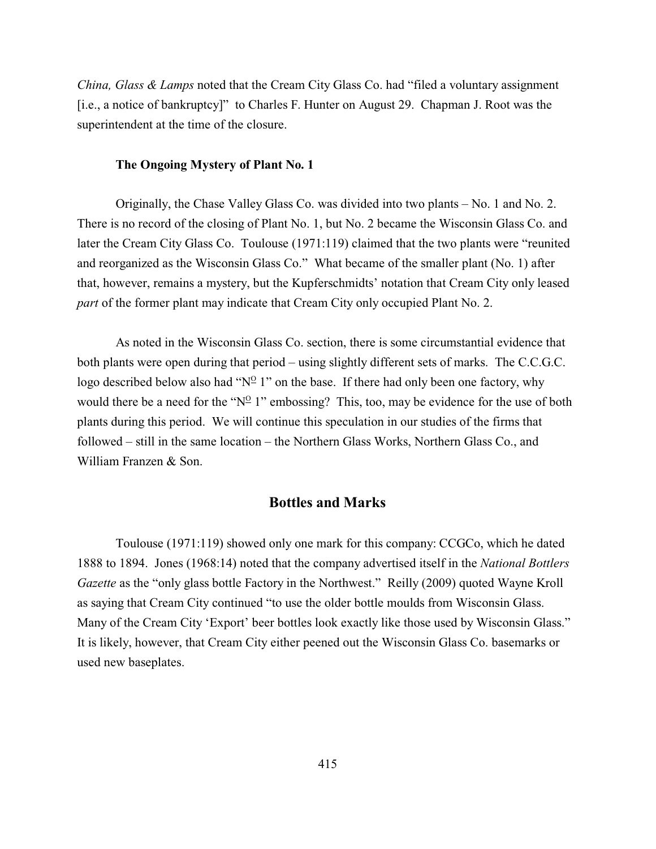*China, Glass & Lamps* noted that the Cream City Glass Co. had "filed a voluntary assignment [i.e., a notice of bankruptcy]" to Charles F. Hunter on August 29. Chapman J. Root was the superintendent at the time of the closure.

#### **The Ongoing Mystery of Plant No. 1**

Originally, the Chase Valley Glass Co. was divided into two plants – No. 1 and No. 2. There is no record of the closing of Plant No. 1, but No. 2 became the Wisconsin Glass Co. and later the Cream City Glass Co. Toulouse (1971:119) claimed that the two plants were "reunited and reorganized as the Wisconsin Glass Co." What became of the smaller plant (No. 1) after that, however, remains a mystery, but the Kupferschmidts' notation that Cream City only leased *part* of the former plant may indicate that Cream City only occupied Plant No. 2.

As noted in the Wisconsin Glass Co. section, there is some circumstantial evidence that both plants were open during that period – using slightly different sets of marks. The C.C.G.C. logo described below also had " $N^{\circ}$  1" on the base. If there had only been one factory, why would there be a need for the " $N^{\circ}$  1" embossing? This, too, may be evidence for the use of both plants during this period. We will continue this speculation in our studies of the firms that followed – still in the same location – the Northern Glass Works, Northern Glass Co., and William Franzen & Son.

## **Bottles and Marks**

Toulouse (1971:119) showed only one mark for this company: CCGCo, which he dated 1888 to 1894. Jones (1968:14) noted that the company advertised itself in the *National Bottlers Gazette* as the "only glass bottle Factory in the Northwest." Reilly (2009) quoted Wayne Kroll as saying that Cream City continued "to use the older bottle moulds from Wisconsin Glass. Many of the Cream City 'Export' beer bottles look exactly like those used by Wisconsin Glass." It is likely, however, that Cream City either peened out the Wisconsin Glass Co. basemarks or used new baseplates.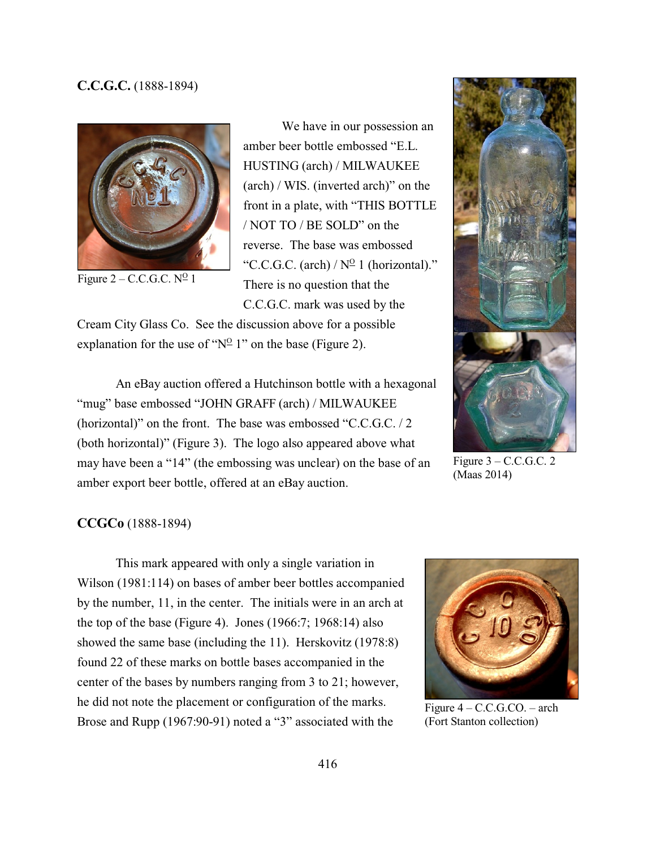## **C.C.G.C.** (1888-1894)



Figure  $2 - C.C.G.C. N<sup>0</sup> 1$ 

We have in our possession an amber beer bottle embossed "E.L. HUSTING (arch) / MILWAUKEE (arch) / WIS. (inverted arch)" on the front in a plate, with "THIS BOTTLE / NOT TO / BE SOLD" on the reverse. The base was embossed "C.C.G.C. (arch) /  $N^{\circ}$  1 (horizontal)." There is no question that the C.C.G.C. mark was used by the

Cream City Glass Co. See the discussion above for a possible explanation for the use of " $N^{\circ}$  1" on the base (Figure 2).

An eBay auction offered a Hutchinson bottle with a hexagonal "mug" base embossed "JOHN GRAFF (arch) / MILWAUKEE (horizontal)" on the front. The base was embossed "C.C.G.C. / 2 (both horizontal)" (Figure 3). The logo also appeared above what may have been a "14" (the embossing was unclear) on the base of an amber export beer bottle, offered at an eBay auction.



Figure  $3 - C.C.G.C. 2$ (Maas 2014)

#### **CCGCo** (1888-1894)

This mark appeared with only a single variation in Wilson (1981:114) on bases of amber beer bottles accompanied by the number, 11, in the center. The initials were in an arch at the top of the base (Figure 4). Jones (1966:7; 1968:14) also showed the same base (including the 11). Herskovitz (1978:8) found 22 of these marks on bottle bases accompanied in the center of the bases by numbers ranging from 3 to 21; however, he did not note the placement or configuration of the marks. Brose and Rupp (1967:90-91) noted a "3" associated with the



Figure 4 – C.C.G.CO. – arch (Fort Stanton collection)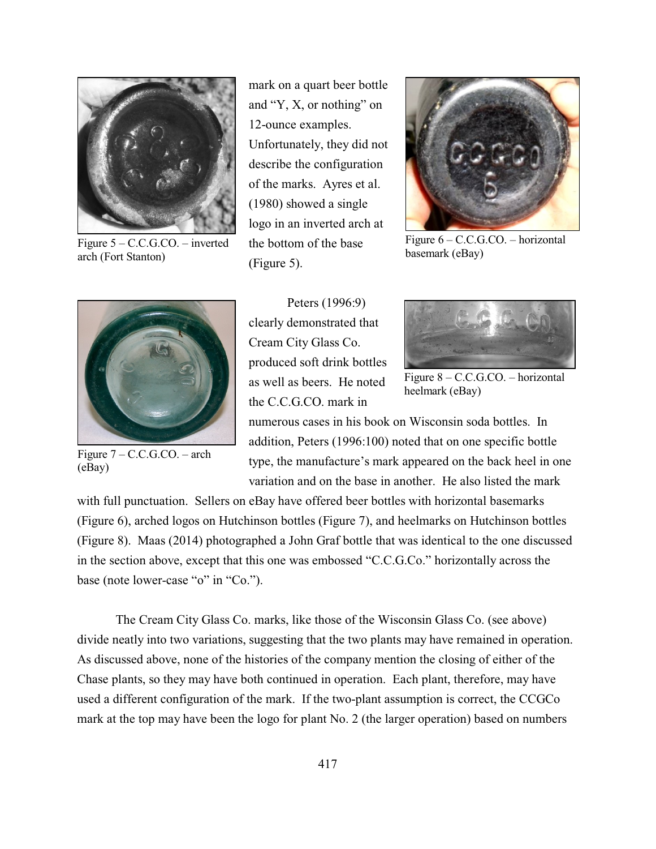

Figure 5 – C.C.G.CO. – inverted arch (Fort Stanton)

mark on a quart beer bottle and "Y, X, or nothing" on 12-ounce examples. Unfortunately, they did not describe the configuration of the marks. Ayres et al. (1980) showed a single logo in an inverted arch at the bottom of the base (Figure 5).



Figure 6 – C.C.G.CO. – horizontal basemark (eBay)



Figure 7 – C.C.G.CO. – arch (eBay)

Peters (1996:9) clearly demonstrated that Cream City Glass Co. produced soft drink bottles as well as beers. He noted the C.C.G.CO. mark in



Figure 8 – C.C.G.CO. – horizontal heelmark (eBay)

numerous cases in his book on Wisconsin soda bottles. In addition, Peters (1996:100) noted that on one specific bottle type, the manufacture's mark appeared on the back heel in one variation and on the base in another. He also listed the mark

with full punctuation. Sellers on eBay have offered beer bottles with horizontal basemarks (Figure 6), arched logos on Hutchinson bottles (Figure 7), and heelmarks on Hutchinson bottles (Figure 8). Maas (2014) photographed a John Graf bottle that was identical to the one discussed in the section above, except that this one was embossed "C.C.G.Co." horizontally across the base (note lower-case "o" in "Co.").

The Cream City Glass Co. marks, like those of the Wisconsin Glass Co. (see above) divide neatly into two variations, suggesting that the two plants may have remained in operation. As discussed above, none of the histories of the company mention the closing of either of the Chase plants, so they may have both continued in operation. Each plant, therefore, may have used a different configuration of the mark. If the two-plant assumption is correct, the CCGCo mark at the top may have been the logo for plant No. 2 (the larger operation) based on numbers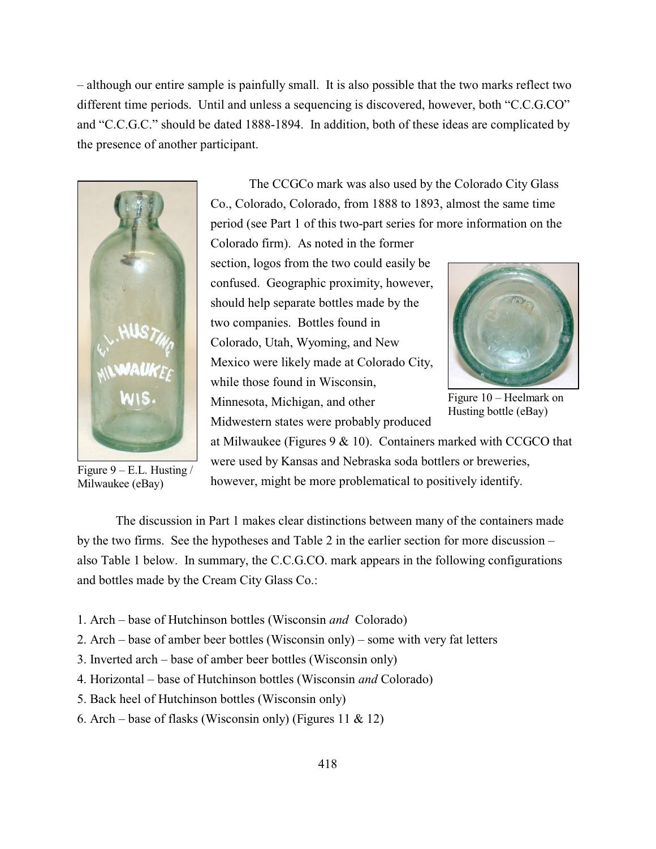– although our entire sample is painfully small. It is also possible that the two marks reflect two different time periods. Until and unless a sequencing is discovered, however, both "C.C.G.CO" and "C.C.G.C." should be dated 1888-1894. In addition, both of these ideas are complicated by the presence of another participant.



Figure  $9 - E.L.$  Husting / Milwaukee (eBay)

The CCGCo mark was also used by the Colorado City Glass Co., Colorado, Colorado, from 1888 to 1893, almost the same time period (see Part 1 of this two-part series for more information on the Colorado firm). As noted in the former

section, logos from the two could easily be confused. Geographic proximity, however, should help separate bottles made by the two companies. Bottles found in Colorado, Utah, Wyoming, and New Mexico were likely made at Colorado City, while those found in Wisconsin. Minnesota, Michigan, and other Midwestern states were probably produced



Figure 10 – Heelmark on Husting bottle (eBay)

at Milwaukee (Figures  $9 \& 10$ ). Containers marked with CCGCO that were used by Kansas and Nebraska soda bottlers or breweries, however, might be more problematical to positively identify.

The discussion in Part 1 makes clear distinctions between many of the containers made by the two firms. See the hypotheses and Table 2 in the earlier section for more discussion – also Table 1 below. In summary, the C.C.G.CO. mark appears in the following configurations and bottles made by the Cream City Glass Co.:

- 1. Arch base of Hutchinson bottles (Wisconsin *and* Colorado)
- 2. Arch base of amber beer bottles (Wisconsin only) some with very fat letters
- 3. Inverted arch base of amber beer bottles (Wisconsin only)
- 4. Horizontal base of Hutchinson bottles (Wisconsin *and* Colorado)
- 5. Back heel of Hutchinson bottles (Wisconsin only)
- 6. Arch base of flasks (Wisconsin only) (Figures 11 & 12)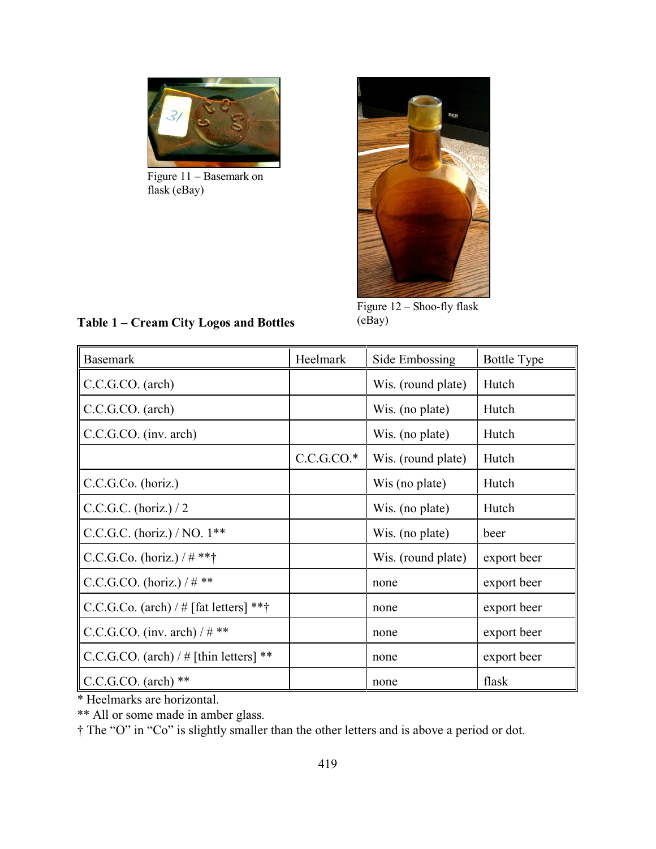

Figure 11 – Basemark on flask (eBay)



Figure 12 – Shoo-fly flask (eBay)

| <b>Basemark</b>                           | Heelmark     | Side Embossing     | <b>Bottle Type</b> |
|-------------------------------------------|--------------|--------------------|--------------------|
| CC.G.C.O. (arch)                          |              | Wis. (round plate) | Hutch              |
| C.C.G.CO. (arch)                          |              | Wis. (no plate)    | Hutch              |
| C.C.G.CO. (inv. arch)                     |              | Wis. (no plate)    | Hutch              |
|                                           | $C.C.G.CO.*$ | Wis. (round plate) | Hutch              |
| C.C.G.Co. (horiz.)                        |              | Wis (no plate)     | Hutch              |
| C.C.G.C. (horiz.) / 2                     |              | Wis. (no plate)    | Hutch              |
| C.C.G.C. (horiz.) / NO. $1**$             |              | Wis. (no plate)    | beer               |
| $ C.C.G.Co. (horiz.) / # **†$             |              | Wis. (round plate) | export beer        |
| C.C.G.CO. (horiz.) / $\#$ **              |              | none               | export beer        |
| C.C.G.Co. (arch) / $\#$ [fat letters] *** |              | none               | export beer        |
| $ C.C.G.CO. (inv. arch) / # **$           |              | none               | export beer        |
| C.C.G.CO. (arch) / $\#$ [thin letters] ** |              | none               | export beer        |
| $\parallel$ C.C.G.CO. (arch) **           |              | none               | flask              |

## **Table 1 – Cream City Logos and Bottles**

\* Heelmarks are horizontal.

\*\* All or some made in amber glass.

† The "O" in "Co" is slightly smaller than the other letters and is above a period or dot.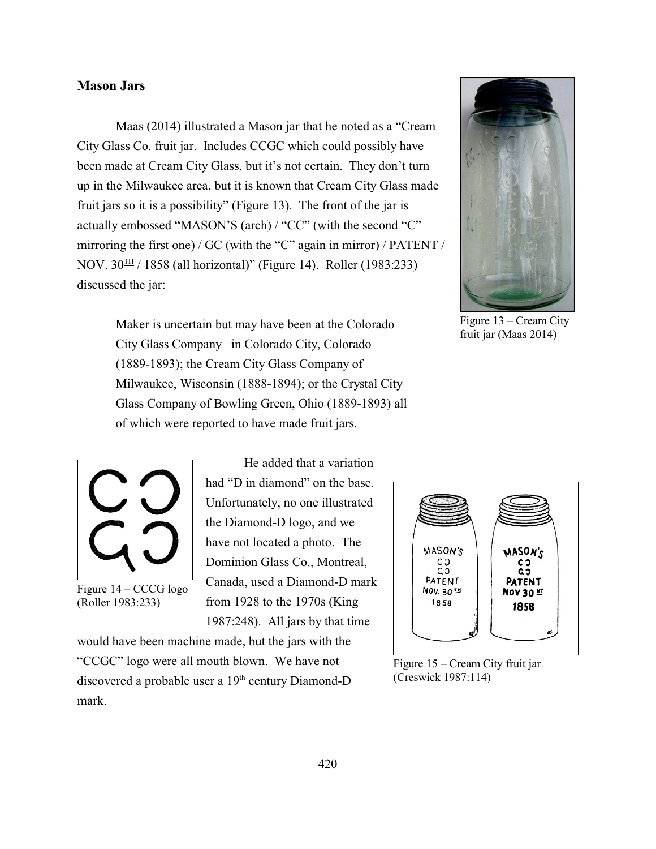## **Mason Jars**

Maas (2014) illustrated a Mason jar that he noted as a "Cream City Glass Co. fruit jar. Includes CCGC which could possibly have been made at Cream City Glass, but it's not certain. They don't turn up in the Milwaukee area, but it is known that Cream City Glass made fruit jars so it is a possibility" (Figure 13). The front of the jar is actually embossed "MASON'S (arch) / "CC" (with the second "C" mirroring the first one) / GC (with the "C" again in mirror) / PATENT / NOV. 30 $^{\text{TH}}$  / 1858 (all horizontal)" (Figure 14). Roller (1983:233) discussed the jar:

> Maker is uncertain but may have been at the Colorado City Glass Company in Colorado City, Colorado (1889-1893); the Cream City Glass Company of Milwaukee, Wisconsin (1888-1894); or the Crystal City Glass Company of Bowling Green, Ohio (1889-1893) all of which were reported to have made fruit jars.



Figure 13 – Cream City fruit jar (Maas 2014)



Figure 14 – CCCG logo (Roller 1983:233)

He added that a variation had "D in diamond" on the base. Unfortunately, no one illustrated the Diamond-D logo, and we have not located a photo. The Dominion Glass Co., Montreal, Canada, used a Diamond-D mark from 1928 to the 1970s (King 1987:248). All jars by that time

would have been machine made, but the jars with the "CCGC" logo were all mouth blown. We have not discovered a probable user a  $19<sup>th</sup>$  century Diamond-D mark.



Figure 15 – Cream City fruit jar (Creswick 1987:114)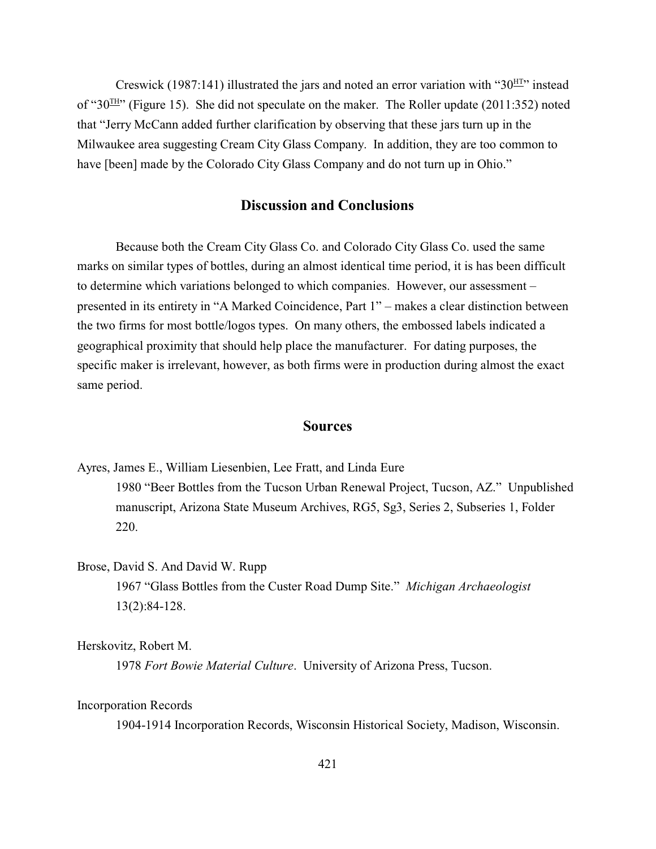Creswick (1987:141) illustrated the jars and noted an error variation with " $30<sup>H</sup>T$ " instead of "30 $H$ " (Figure 15). She did not speculate on the maker. The Roller update (2011:352) noted that "Jerry McCann added further clarification by observing that these jars turn up in the Milwaukee area suggesting Cream City Glass Company. In addition, they are too common to have [been] made by the Colorado City Glass Company and do not turn up in Ohio."

## **Discussion and Conclusions**

Because both the Cream City Glass Co. and Colorado City Glass Co. used the same marks on similar types of bottles, during an almost identical time period, it is has been difficult to determine which variations belonged to which companies. However, our assessment – presented in its entirety in "A Marked Coincidence, Part 1" – makes a clear distinction between the two firms for most bottle/logos types. On many others, the embossed labels indicated a geographical proximity that should help place the manufacturer. For dating purposes, the specific maker is irrelevant, however, as both firms were in production during almost the exact same period.

## **Sources**

Ayres, James E., William Liesenbien, Lee Fratt, and Linda Eure 1980 "Beer Bottles from the Tucson Urban Renewal Project, Tucson, AZ." Unpublished manuscript, Arizona State Museum Archives, RG5, Sg3, Series 2, Subseries 1, Folder 220.

## Brose, David S. And David W. Rupp

1967 "Glass Bottles from the Custer Road Dump Site." *Michigan Archaeologist* 13(2):84-128.

Herskovitz, Robert M.

1978 *Fort Bowie Material Culture*. University of Arizona Press, Tucson.

#### Incorporation Records

1904-1914 Incorporation Records, Wisconsin Historical Society, Madison, Wisconsin.